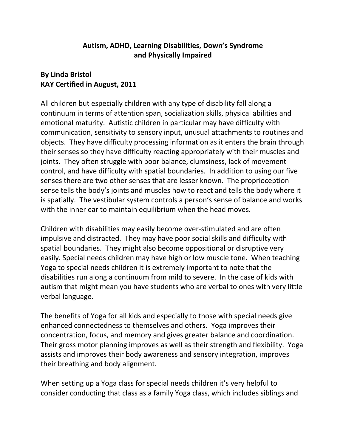## **Autism, ADHD, Learning Disabilities, Down's Syndrome and Physically Impaired**

## **By Linda Bristol KAY Certified in August, 2011**

All children but especially children with any type of disability fall along a continuum in terms of attention span, socialization skills, physical abilities and emotional maturity. Autistic children in particular may have difficulty with communication, sensitivity to sensory input, unusual attachments to routines and objects. They have difficulty processing information as it enters the brain through their senses so they have difficulty reacting appropriately with their muscles and joints. They often struggle with poor balance, clumsiness, lack of movement control, and have difficulty with spatial boundaries. In addition to using our five senses there are two other senses that are lesser known. The proprioception sense tells the body's joints and muscles how to react and tells the body where it is spatially. The vestibular system controls a person's sense of balance and works with the inner ear to maintain equilibrium when the head moves.

Children with disabilities may easily become over-stimulated and are often impulsive and distracted. They may have poor social skills and difficulty with spatial boundaries. They might also become oppositional or disruptive very easily. Special needs children may have high or low muscle tone. When teaching Yoga to special needs children it is extremely important to note that the disabilities run along a continuum from mild to severe. In the case of kids with autism that might mean you have students who are verbal to ones with very little verbal language.

The benefits of Yoga for all kids and especially to those with special needs give enhanced connectedness to themselves and others. Yoga improves their concentration, focus, and memory and gives greater balance and coordination. Their gross motor planning improves as well as their strength and flexibility. Yoga assists and improves their body awareness and sensory integration, improves their breathing and body alignment.

When setting up a Yoga class for special needs children it's very helpful to consider conducting that class as a family Yoga class, which includes siblings and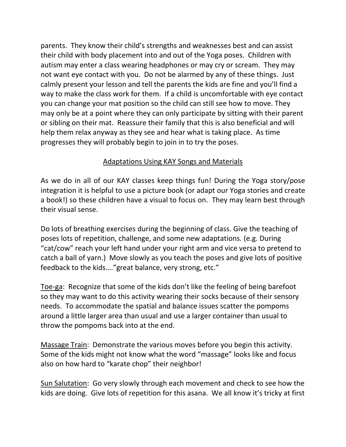parents. They know their child's strengths and weaknesses best and can assist their child with body placement into and out of the Yoga poses. Children with autism may enter a class wearing headphones or may cry or scream. They may not want eye contact with you. Do not be alarmed by any of these things. Just calmly present your lesson and tell the parents the kids are fine and you'll find a way to make the class work for them. If a child is uncomfortable with eye contact you can change your mat position so the child can still see how to move. They may only be at a point where they can only participate by sitting with their parent or sibling on their mat. Reassure their family that this is also beneficial and will help them relax anyway as they see and hear what is taking place. As time progresses they will probably begin to join in to try the poses.

## Adaptations Using KAY Songs and Materials

As we do in all of our KAY classes keep things fun! During the Yoga story/pose integration it is helpful to use a picture book (or adapt our Yoga stories and create a book!) so these children have a visual to focus on. They may learn best through their visual sense.

Do lots of breathing exercises during the beginning of class. Give the teaching of poses lots of repetition, challenge, and some new adaptations. (e.g. During "cat/cow" reach your left hand under your right arm and vice versa to pretend to catch a ball of yarn.) Move slowly as you teach the poses and give lots of positive feedback to the kids…."great balance, very strong, etc."

Toe-ga: Recognize that some of the kids don't like the feeling of being barefoot so they may want to do this activity wearing their socks because of their sensory needs. To accommodate the spatial and balance issues scatter the pompoms around a little larger area than usual and use a larger container than usual to throw the pompoms back into at the end.

Massage Train: Demonstrate the various moves before you begin this activity. Some of the kids might not know what the word "massage" looks like and focus also on how hard to "karate chop" their neighbor!

Sun Salutation: Go very slowly through each movement and check to see how the kids are doing. Give lots of repetition for this asana. We all know it's tricky at first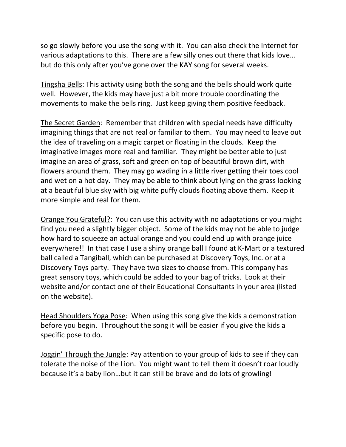so go slowly before you use the song with it. You can also check the Internet for various adaptations to this. There are a few silly ones out there that kids love… but do this only after you've gone over the KAY song for several weeks.

Tingsha Bells: This activity using both the song and the bells should work quite well. However, the kids may have just a bit more trouble coordinating the movements to make the bells ring. Just keep giving them positive feedback.

The Secret Garden: Remember that children with special needs have difficulty imagining things that are not real or familiar to them. You may need to leave out the idea of traveling on a magic carpet or floating in the clouds. Keep the imaginative images more real and familiar. They might be better able to just imagine an area of grass, soft and green on top of beautiful brown dirt, with flowers around them. They may go wading in a little river getting their toes cool and wet on a hot day. They may be able to think about lying on the grass looking at a beautiful blue sky with big white puffy clouds floating above them. Keep it more simple and real for them.

Orange You Grateful?: You can use this activity with no adaptations or you might find you need a slightly bigger object. Some of the kids may not be able to judge how hard to squeeze an actual orange and you could end up with orange juice everywhere!! In that case I use a shiny orange ball I found at K-Mart or a textured ball called a Tangiball, which can be purchased at Discovery Toys, Inc. or at a Discovery Toys party. They have two sizes to choose from. This company has great sensory toys, which could be added to your bag of tricks. Look at their website and/or contact one of their Educational Consultants in your area (listed on the website).

Head Shoulders Yoga Pose: When using this song give the kids a demonstration before you begin. Throughout the song it will be easier if you give the kids a specific pose to do.

Joggin' Through the Jungle: Pay attention to your group of kids to see if they can tolerate the noise of the Lion. You might want to tell them it doesn't roar loudly because it's a baby lion…but it can still be brave and do lots of growling!